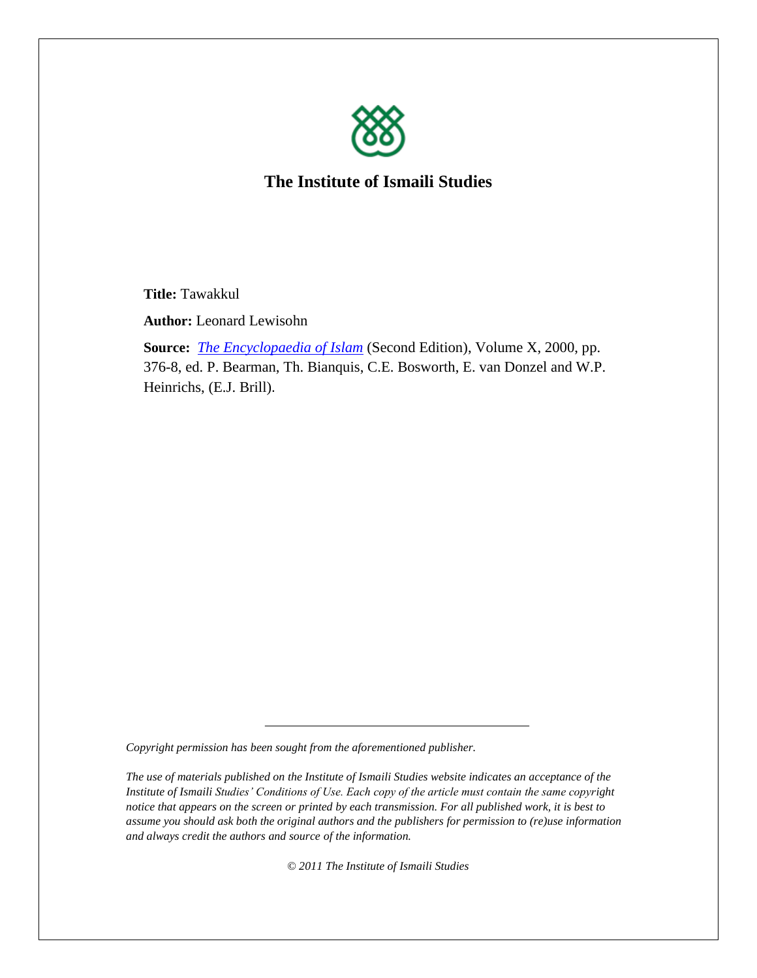

**The Institute of Ismaili Studies**

**Title:** Tawakkul

**Author:** Leonard Lewisohn

**Source:** *[The Encyclopaedia of Islam](http://www.brill.nl/publications/online-resources/encyclopaedia-islam-online)* (Second Edition), Volume X, 2000, pp. 376-8, ed. P. Bearman, Th. Bianquis, C.E. Bosworth, E. van Donzel and W.P. Heinrichs, (E.J. Brill).

*Copyright permission has been sought from the aforementioned publisher.* 

*The use of materials published on the Institute of Ismaili Studies website indicates an acceptance of the Institute of Ismaili Studies' Conditions of Use. Each copy of the article must contain the same copyright notice that appears on the screen or printed by each transmission. For all published work, it is best to assume you should ask both the original authors and the publishers for permission to (re)use information and always credit the authors and source of the information.*

*© 2011 The Institute of Ismaili Studies*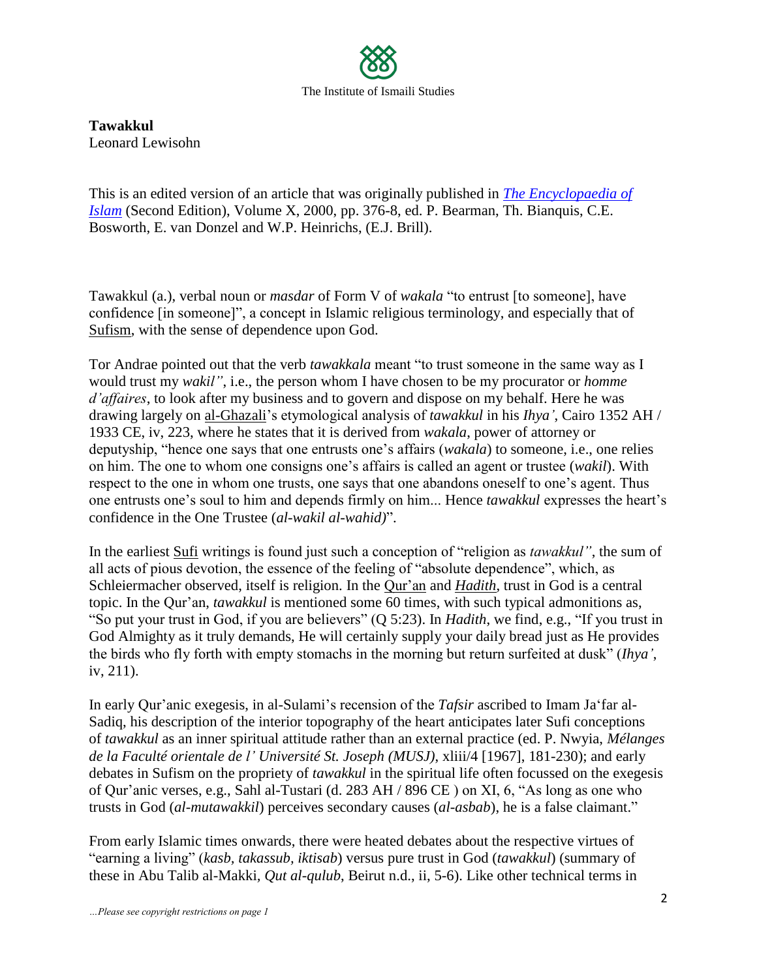

**Tawakkul** Leonard Lewisohn

This is an edited version of an article that was originally published in *[The Encyclopaedia of](http://www.brill.nl/publications/online-resources/encyclopaedia-islam-online)  [Islam](http://www.brill.nl/publications/online-resources/encyclopaedia-islam-online)* (Second Edition), Volume X, 2000, pp. 376-8, ed. P. Bearman, Th. Bianquis, C.E. Bosworth, E. van Donzel and W.P. Heinrichs, (E.J. Brill).

Tawakkul (a.), verbal noun or *masdar* of Form V of *wakala* "to entrust [to someone], have confidence [in someone]", a concept in Islamic religious terminology, and especially that of Sufism, with the sense of dependence upon God.

Tor Andrae pointed out that the verb *tawakkala* meant "to trust someone in the same way as I would trust my *wakil"*, i.e., the person whom I have chosen to be my procurator or *homme d"affaires*, to look after my business and to govern and dispose on my behalf. Here he was drawing largely on al-Ghazali"s etymological analysis of *tawakkul* in his *Ihya"*, Cairo 1352 AH / 1933 CE, iv, 223, where he states that it is derived from *wakala*, power of attorney or deputyship, "hence one says that one entrusts one"s affairs (*wakala*) to someone, i.e., one relies on him. The one to whom one consigns one"s affairs is called an agent or trustee (*wakil*). With respect to the one in whom one trusts, one says that one abandons oneself to one's agent. Thus one entrusts one"s soul to him and depends firmly on him... Hence *tawakkul* expresses the heart"s confidence in the One Trustee (*al-wakil al-wahid)*".

In the earliest Sufi writings is found just such a conception of "religion as *tawakkul"*, the sum of all acts of pious devotion, the essence of the feeling of "absolute dependence", which, as Schleiermacher observed, itself is religion. In the Qur"an and *Hadith*, trust in God is a central topic. In the Qur'an, *tawakkul* is mentioned some 60 times, with such typical admonitions as, "So put your trust in God, if you are believers" (Q 5:23). In *Hadith*, we find, e.g., "If you trust in God Almighty as it truly demands, He will certainly supply your daily bread just as He provides the birds who fly forth with empty stomachs in the morning but return surfeited at dusk" (*Ihya"*, iv, 211).

In early Qur'anic exegesis, in al-Sulami's recension of the *Tafsir* ascribed to Imam Ja'far al-Sadiq, his description of the interior topography of the heart anticipates later Sufi conceptions of *tawakkul* as an inner spiritual attitude rather than an external practice (ed. P. Nwyia, *Mélanges de la Faculté orientale de l" Université St. Joseph (MUSJ)*, xliii/4 [1967], 181-230); and early debates in Sufism on the propriety of *tawakkul* in the spiritual life often focussed on the exegesis of Qur"anic verses, e.g., Sahl al-Tustari (d. 283 AH / 896 CE ) on XI, 6, "As long as one who trusts in God (*al-mutawakkil*) perceives secondary causes (*al-asbab*), he is a false claimant."

From early Islamic times onwards, there were heated debates about the respective virtues of "earning a living" (*kasb, takassub, iktisab*) versus pure trust in God (*tawakkul*) (summary of these in Abu Talib al-Makki*, Qut al-qulub*, Beirut n.d., ii, 5-6). Like other technical terms in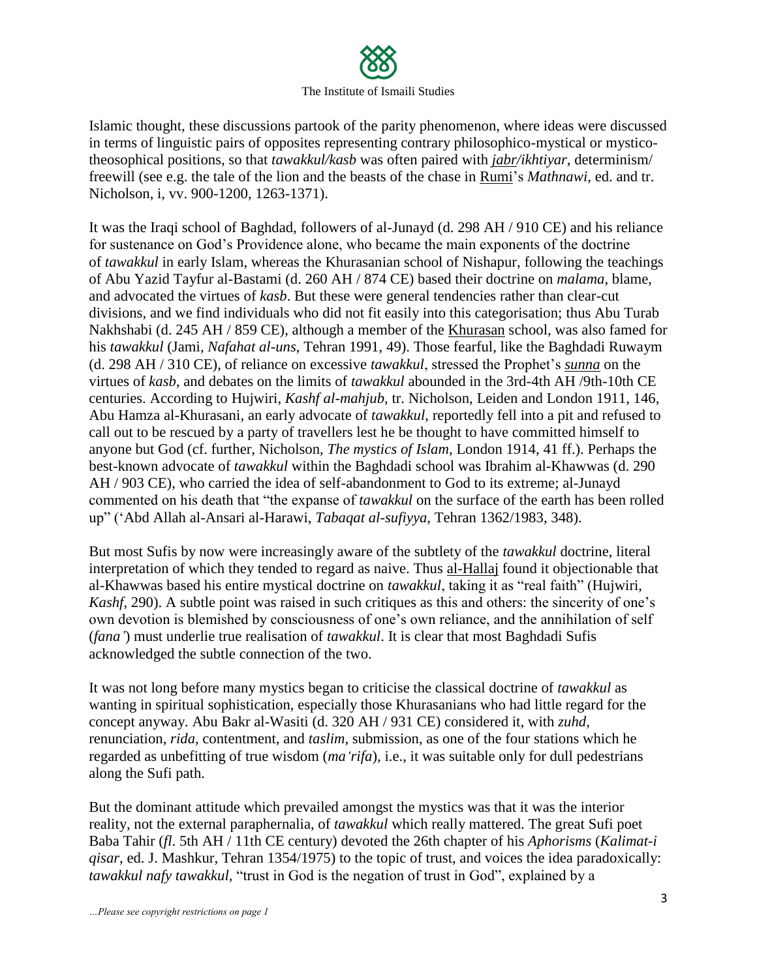

Islamic thought, these discussions partook of the parity phenomenon, where ideas were discussed in terms of linguistic pairs of opposites representing contrary philosophico-mystical or mysticotheosophical positions, so that *tawakkul/kasb* was often paired with *jabr/ikhtiyar*, determinism/ freewill (see e.g. the tale of the lion and the beasts of the chase in Rumi"s *Mathnawi*, ed. and tr. Nicholson, i, vv. 900-1200, 1263-1371).

It was the Iraqi school of Baghdad, followers of al-Junayd (d. 298 AH / 910 CE) and his reliance for sustenance on God"s Providence alone, who became the main exponents of the doctrine of *tawakkul* in early Islam, whereas the Khurasanian school of Nishapur, following the teachings of Abu Yazid Tayfur al-Bastami (d. 260 AH / 874 CE) based their doctrine on *malama*, blame, and advocated the virtues of *kasb*. But these were general tendencies rather than clear-cut divisions, and we find individuals who did not fit easily into this categorisation; thus Abu Turab Nakhshabi (d. 245 AH / 859 CE), although a member of the Khurasan school, was also famed for his *tawakkul* (Jami, *Nafahat al-uns*, Tehran 1991, 49). Those fearful, like the Baghdadi Ruwaym (d. 298 AH / 310 CE), of reliance on excessive *tawakkul*, stressed the Prophet"s *sunna* on the virtues of *kasb*, and debates on the limits of *tawakkul* abounded in the 3rd-4th AH /9th-10th CE centuries. According to Hujwiri, *Kashf al-mahjub*, tr. Nicholson, Leiden and London 1911, 146, Abu Hamza al-Khurasani, an early advocate of *tawakkul*, reportedly fell into a pit and refused to call out to be rescued by a party of travellers lest he be thought to have committed himself to anyone but God (cf. further, Nicholson, *The mystics of Islam*, London 1914, 41 ff.). Perhaps the best-known advocate of *tawakkul* within the Baghdadi school was Ibrahim al-Khawwas (d. 290 AH / 903 CE), who carried the idea of self-abandonment to God to its extreme; al-Junayd commented on his death that "the expanse of *tawakkul* on the surface of the earth has been rolled up" ("Abd Allah al-Ansari al-Harawi, *Tabaqat al-sufiyya*, Tehran 1362/1983, 348).

But most Sufis by now were increasingly aware of the subtlety of the *tawakkul* doctrine, literal interpretation of which they tended to regard as naive. Thus al-Hallaj found it objectionable that al-Khawwas based his entire mystical doctrine on *tawakkul*, taking it as "real faith" (Hujwiri, *Kashf*, 290). A subtle point was raised in such critiques as this and others: the sincerity of one's own devotion is blemished by consciousness of one"s own reliance, and the annihilation of self (*fana"*) must underlie true realisation of *tawakkul*. It is clear that most Baghdadi Sufis acknowledged the subtle connection of the two.

It was not long before many mystics began to criticise the classical doctrine of *tawakkul* as wanting in spiritual sophistication, especially those Khurasanians who had little regard for the concept anyway. Abu Bakr al-Wasiti (d. 320 AH / 931 CE) considered it, with *zuhd*, renunciation, *rida*, contentment, and *taslim*, submission, as one of the four stations which he regarded as unbefitting of true wisdom (*ma"rifa*), i.e., it was suitable only for dull pedestrians along the Sufi path.

But the dominant attitude which prevailed amongst the mystics was that it was the interior reality, not the external paraphernalia, of *tawakkul* which really mattered. The great Sufi poet Baba Tahir (*fl*. 5th AH / 11th CE century) devoted the 26th chapter of his *Aphorisms* (*Kalimat-i qisar*, ed. J. Mashkur, Tehran 1354/1975) to the topic of trust, and voices the idea paradoxically: *tawakkul nafy tawakkul,* "trust in God is the negation of trust in God", explained by a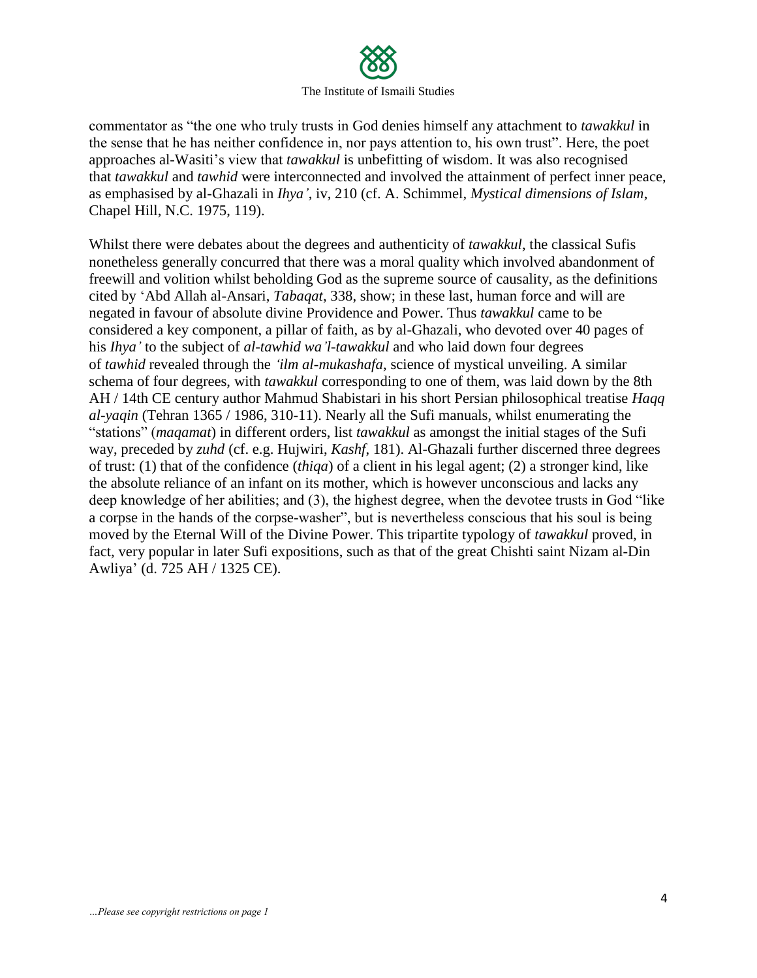

commentator as "the one who truly trusts in God denies himself any attachment to *tawakkul* in the sense that he has neither confidence in, nor pays attention to, his own trust". Here, the poet approaches al-Wasiti"s view that *tawakkul* is unbefitting of wisdom. It was also recognised that *tawakkul* and *tawhid* were interconnected and involved the attainment of perfect inner peace, as emphasised by al-Ghazali in *Ihya"*, iv, 210 (cf. A. Schimmel, *Mystical dimensions of Islam*, Chapel Hill, N.C. 1975, 119).

Whilst there were debates about the degrees and authenticity of *tawakkul*, the classical Sufis nonetheless generally concurred that there was a moral quality which involved abandonment of freewill and volition whilst beholding God as the supreme source of causality, as the definitions cited by "Abd Allah al-Ansari, *Tabaqat*, 338, show; in these last, human force and will are negated in favour of absolute divine Providence and Power. Thus *tawakkul* came to be considered a key component, a pillar of faith, as by al-Ghazali, who devoted over 40 pages of his *Ihya"* to the subject of *al-tawhid wa"l-tawakkul* and who laid down four degrees of *tawhid* revealed through the *"ilm al-mukashafa*, science of mystical unveiling. A similar schema of four degrees, with *tawakkul* corresponding to one of them, was laid down by the 8th AH / 14th CE century author Mahmud Shabistari in his short Persian philosophical treatise *Haqq al-yaqin* (Tehran 1365 / 1986, 310-11). Nearly all the Sufi manuals, whilst enumerating the "stations" (*maqamat*) in different orders, list *tawakkul* as amongst the initial stages of the Sufi way, preceded by *zuhd* (cf. e.g. Hujwiri, *Kashf*, 181). Al-Ghazali further discerned three degrees of trust: (1) that of the confidence (*thiqa*) of a client in his legal agent; (2) a stronger kind, like the absolute reliance of an infant on its mother, which is however unconscious and lacks any deep knowledge of her abilities; and (3), the highest degree, when the devotee trusts in God "like a corpse in the hands of the corpse-washer", but is nevertheless conscious that his soul is being moved by the Eternal Will of the Divine Power. This tripartite typology of *tawakkul* proved, in fact, very popular in later Sufi expositions, such as that of the great Chishti saint Nizam al-Din Awliya" (d. 725 AH / 1325 CE).